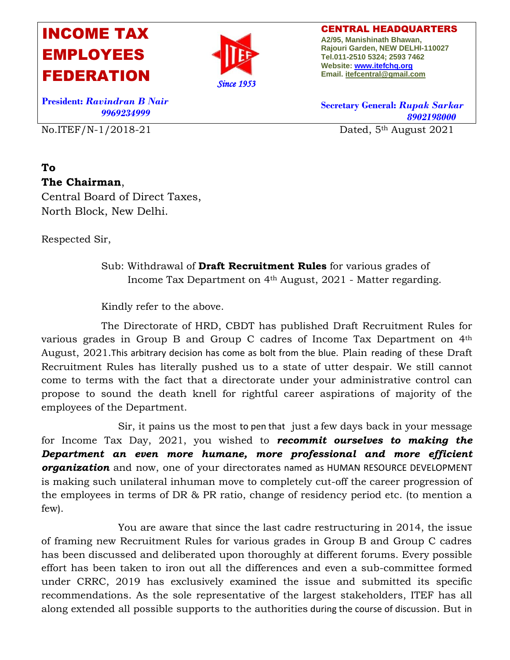## INCOME TAX EMPLOYEES FEDERATION



CENTRAL HEADQUARTERS **A2/95, Manishinath Bhawan, Rajouri Garden, NEW DELHI-110027 Tel.011-2510 5324; 2593 7462 Website[: www.itefchq.org](http://www.itefchq.org/) Email[. itefcentral@gmail.com](mailto:itefcentral@gmail.com)**

**President:** *Ravindran B Nair 9969234999* 

No.ITEF/N-1/2018-21 Dated, 5th August 2021

## **To The Chairman**,

Central Board of Direct Taxes, North Block, New Delhi.

Respected Sir,

Sub: Withdrawal of **Draft Recruitment Rules** for various grades of Income Tax Department on 4th August, 2021 - Matter regarding.

Kindly refer to the above.

The Directorate of HRD, CBDT has published Draft Recruitment Rules for various grades in Group B and Group C cadres of Income Tax Department on 4th August, 2021.This arbitrary decision has come as bolt from the blue. Plain reading of these Draft Recruitment Rules has literally pushed us to a state of utter despair. We still cannot come to terms with the fact that a directorate under your administrative control can propose to sound the death knell for rightful career aspirations of majority of the employees of the Department.

 Sir, it pains us the most to pen that just a few days back in your message for Income Tax Day, 2021, you wished to *recommit ourselves to making the Department an even more humane, more professional and more efficient organization* and now, one of your directorates named as HUMAN RESOURCE DEVELOPMENT is making such unilateral inhuman move to completely cut-off the career progression of the employees in terms of DR & PR ratio, change of residency period etc. (to mention a few).

 You are aware that since the last cadre restructuring in 2014, the issue of framing new Recruitment Rules for various grades in Group B and Group C cadres has been discussed and deliberated upon thoroughly at different forums. Every possible effort has been taken to iron out all the differences and even a sub-committee formed under CRRC, 2019 has exclusively examined the issue and submitted its specific recommendations. As the sole representative of the largest stakeholders, ITEF has all along extended all possible supports to the authorities during the course of discussion. But in

**Secretary General:** *Rupak Sarkar 8902198000*